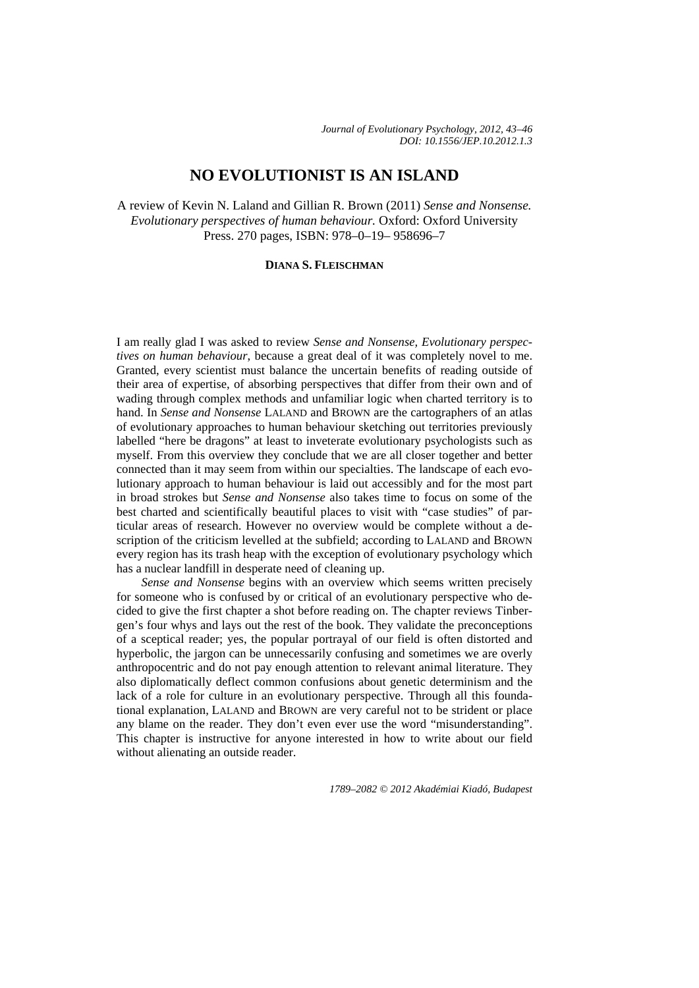*Journal of Evolutionary Psychology, 2012, 43–46 DOI: 10.1556/JEP.10.2012.1.3* 

## **NO EVOLUTIONIST IS AN ISLAND**

A review of Kevin N. Laland and Gillian R. Brown (2011) *Sense and Nonsense. Evolutionary perspectives of human behaviour.* Oxford: Oxford University Press. 270 pages, ISBN: 978–0–19– 958696–7

## **DIANA S. FLEISCHMAN**

I am really glad I was asked to review *Sense and Nonsense, Evolutionary perspectives on human behaviour*, because a great deal of it was completely novel to me. Granted, every scientist must balance the uncertain benefits of reading outside of their area of expertise, of absorbing perspectives that differ from their own and of wading through complex methods and unfamiliar logic when charted territory is to hand. In *Sense and Nonsense* LALAND and BROWN are the cartographers of an atlas of evolutionary approaches to human behaviour sketching out territories previously labelled "here be dragons" at least to inveterate evolutionary psychologists such as myself. From this overview they conclude that we are all closer together and better connected than it may seem from within our specialties. The landscape of each evolutionary approach to human behaviour is laid out accessibly and for the most part in broad strokes but *Sense and Nonsense* also takes time to focus on some of the best charted and scientifically beautiful places to visit with "case studies" of particular areas of research. However no overview would be complete without a description of the criticism levelled at the subfield; according to LALAND and BROWN every region has its trash heap with the exception of evolutionary psychology which has a nuclear landfill in desperate need of cleaning up.

*Sense and Nonsense* begins with an overview which seems written precisely for someone who is confused by or critical of an evolutionary perspective who decided to give the first chapter a shot before reading on. The chapter reviews Tinbergen's four whys and lays out the rest of the book. They validate the preconceptions of a sceptical reader; yes, the popular portrayal of our field is often distorted and hyperbolic, the jargon can be unnecessarily confusing and sometimes we are overly anthropocentric and do not pay enough attention to relevant animal literature. They also diplomatically deflect common confusions about genetic determinism and the lack of a role for culture in an evolutionary perspective. Through all this foundational explanation, LALAND and BROWN are very careful not to be strident or place any blame on the reader. They don't even ever use the word "misunderstanding". This chapter is instructive for anyone interested in how to write about our field without alienating an outside reader.

*1789–2082 © 2012 Akadémiai Kiadó, Budapest*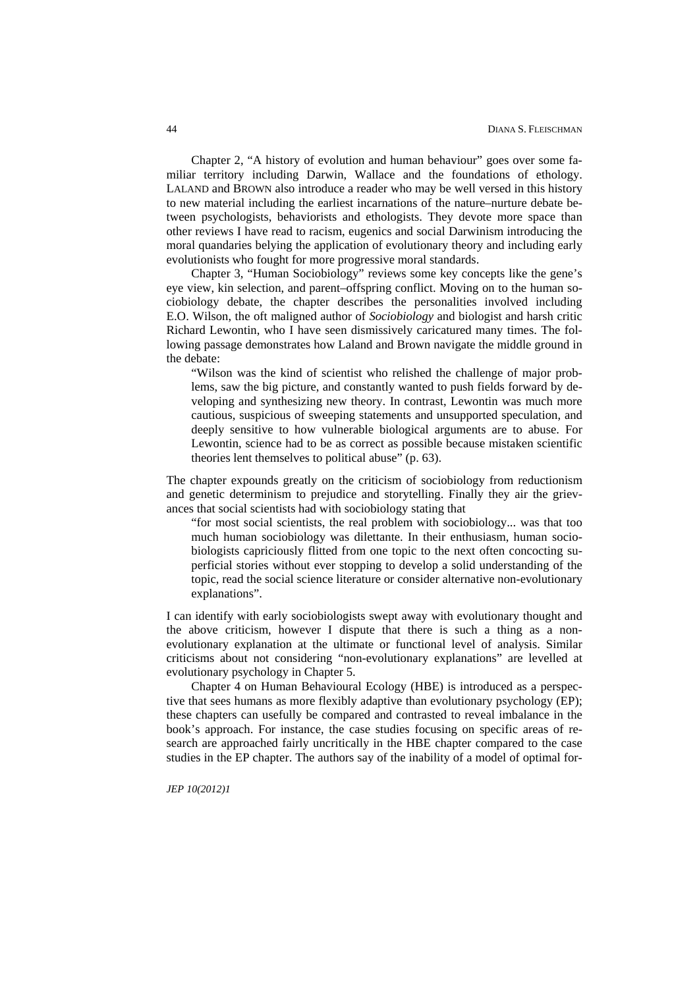Chapter 2, "A history of evolution and human behaviour" goes over some familiar territory including Darwin, Wallace and the foundations of ethology. LALAND and BROWN also introduce a reader who may be well versed in this history to new material including the earliest incarnations of the nature–nurture debate between psychologists, behaviorists and ethologists. They devote more space than other reviews I have read to racism, eugenics and social Darwinism introducing the moral quandaries belying the application of evolutionary theory and including early evolutionists who fought for more progressive moral standards.

Chapter 3, "Human Sociobiology" reviews some key concepts like the gene's eye view, kin selection, and parent–offspring conflict. Moving on to the human sociobiology debate, the chapter describes the personalities involved including E.O. Wilson, the oft maligned author of *Sociobiology* and biologist and harsh critic Richard Lewontin, who I have seen dismissively caricatured many times. The following passage demonstrates how Laland and Brown navigate the middle ground in the debate:

"Wilson was the kind of scientist who relished the challenge of major problems, saw the big picture, and constantly wanted to push fields forward by developing and synthesizing new theory. In contrast, Lewontin was much more cautious, suspicious of sweeping statements and unsupported speculation, and deeply sensitive to how vulnerable biological arguments are to abuse. For Lewontin, science had to be as correct as possible because mistaken scientific theories lent themselves to political abuse" (p. 63).

The chapter expounds greatly on the criticism of sociobiology from reductionism and genetic determinism to prejudice and storytelling. Finally they air the grievances that social scientists had with sociobiology stating that

"for most social scientists, the real problem with sociobiology... was that too much human sociobiology was dilettante. In their enthusiasm, human sociobiologists capriciously flitted from one topic to the next often concocting superficial stories without ever stopping to develop a solid understanding of the topic, read the social science literature or consider alternative non-evolutionary explanations".

I can identify with early sociobiologists swept away with evolutionary thought and the above criticism, however I dispute that there is such a thing as a nonevolutionary explanation at the ultimate or functional level of analysis. Similar criticisms about not considering "non-evolutionary explanations" are levelled at evolutionary psychology in Chapter 5.

Chapter 4 on Human Behavioural Ecology (HBE) is introduced as a perspective that sees humans as more flexibly adaptive than evolutionary psychology (EP); these chapters can usefully be compared and contrasted to reveal imbalance in the book's approach. For instance, the case studies focusing on specific areas of research are approached fairly uncritically in the HBE chapter compared to the case studies in the EP chapter. The authors say of the inability of a model of optimal for-

*JEP 10(2012)1*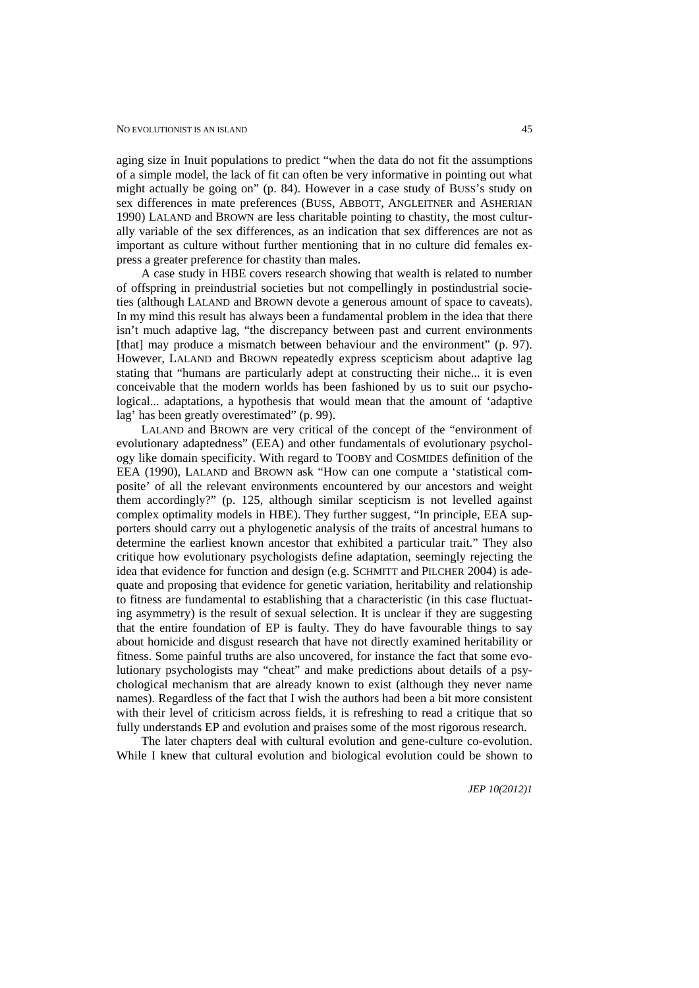aging size in Inuit populations to predict "when the data do not fit the assumptions of a simple model, the lack of fit can often be very informative in pointing out what might actually be going on" (p. 84). However in a case study of BUSS's study on sex differences in mate preferences (BUSS, ABBOTT, ANGLEITNER and ASHERIAN 1990) LALAND and BROWN are less charitable pointing to chastity, the most culturally variable of the sex differences, as an indication that sex differences are not as important as culture without further mentioning that in no culture did females express a greater preference for chastity than males.

A case study in HBE covers research showing that wealth is related to number of offspring in preindustrial societies but not compellingly in postindustrial societies (although LALAND and BROWN devote a generous amount of space to caveats). In my mind this result has always been a fundamental problem in the idea that there isn't much adaptive lag, "the discrepancy between past and current environments [that] may produce a mismatch between behaviour and the environment" (p. 97). However, LALAND and BROWN repeatedly express scepticism about adaptive lag stating that "humans are particularly adept at constructing their niche... it is even conceivable that the modern worlds has been fashioned by us to suit our psychological... adaptations, a hypothesis that would mean that the amount of 'adaptive lag' has been greatly overestimated" (p. 99).

LALAND and BROWN are very critical of the concept of the "environment of evolutionary adaptedness" (EEA) and other fundamentals of evolutionary psychology like domain specificity. With regard to TOOBY and COSMIDES definition of the EEA (1990), LALAND and BROWN ask "How can one compute a 'statistical composite' of all the relevant environments encountered by our ancestors and weight them accordingly?" (p. 125, although similar scepticism is not levelled against complex optimality models in HBE). They further suggest, "In principle, EEA supporters should carry out a phylogenetic analysis of the traits of ancestral humans to determine the earliest known ancestor that exhibited a particular trait." They also critique how evolutionary psychologists define adaptation, seemingly rejecting the idea that evidence for function and design (e.g. SCHMITT and PILCHER 2004) is adequate and proposing that evidence for genetic variation, heritability and relationship to fitness are fundamental to establishing that a characteristic (in this case fluctuating asymmetry) is the result of sexual selection. It is unclear if they are suggesting that the entire foundation of EP is faulty. They do have favourable things to say about homicide and disgust research that have not directly examined heritability or fitness. Some painful truths are also uncovered, for instance the fact that some evolutionary psychologists may "cheat" and make predictions about details of a psychological mechanism that are already known to exist (although they never name names). Regardless of the fact that I wish the authors had been a bit more consistent with their level of criticism across fields, it is refreshing to read a critique that so fully understands EP and evolution and praises some of the most rigorous research.

The later chapters deal with cultural evolution and gene-culture co-evolution. While I knew that cultural evolution and biological evolution could be shown to

*JEP 10(2012)1*